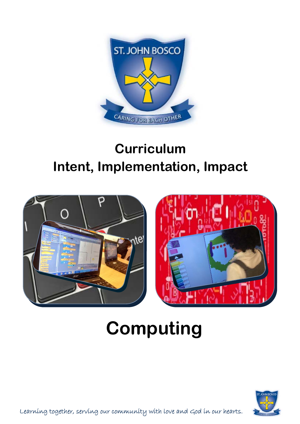

## **Curriculum Intent, Implementation, Impact**



# **Computing**



Learning together, serving our community with love and God in our hearts.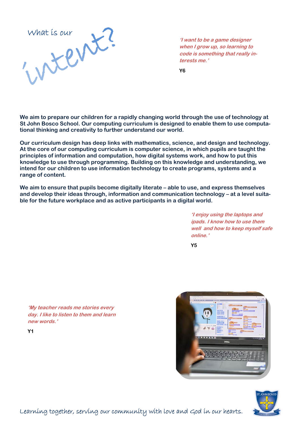

**'I want to be a game designer when I grow up, so learning to code is something that really interests me.'**

**Y6** 

**We aim to prepare our children for a rapidly changing world through the use of technology at St John Bosco School. Our computing curriculum is designed to enable them to use computational thinking and creativity to further understand our world.** 

**Our curriculum design has deep links with mathematics, science, and design and technology. At the core of our computing curriculum is computer science, in which pupils are taught the principles of information and computation, how digital systems work, and how to put this knowledge to use through programming. Building on this knowledge and understanding, we intend for our children to use information technology to create programs, systems and a range of content.** 

**We aim to ensure that pupils become digitally literate – able to use, and express themselves and develop their ideas through, information and communication technology – at a level suitable for the future workplace and as active participants in a digital world.** 

> **'I enjoy using the laptops and ipads. I know how to use them well and how to keep myself safe online.'**

**Y5** 

**'My teacher reads me stories every day. I like to listen to them and learn new words.'**

**Y1** 





Learning together, serving our community with love and God in our hearts.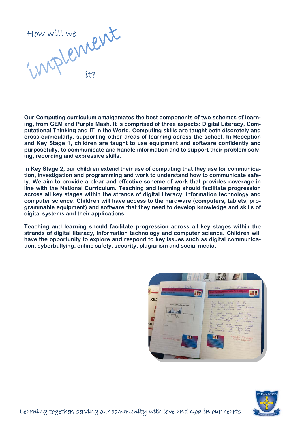How will we newt it?

**Our Computing curriculum amalgamates the best components of two schemes of learning, from GEM and Purple Mash. It is comprised of three aspects: Digital Literacy, Computational Thinking and IT in the World. Computing skills are taught both discretely and cross-curricularly, supporting other areas of learning across the school. In Reception and Key Stage 1, children are taught to use equipment and software confidently and purposefully, to communicate and handle information and to support their problem solving, recording and expressive skills.** 

**In Key Stage 2, our children extend their use of computing that they use for communication, investigation and programming and work to understand how to communicate safely. We aim to provide a clear and effective scheme of work that provides coverage in line with the National Curriculum. Teaching and learning should facilitate progression across all key stages within the strands of digital literacy, information technology and computer science. Children will have access to the hardware (computers, tablets, programmable equipment) and software that they need to develop knowledge and skills of digital systems and their applications.** 

**Teaching and learning should facilitate progression across all key stages within the strands of digital literacy, information technology and computer science. Children will have the opportunity to explore and respond to key issues such as digital communication, cyberbullying, online safety, security, plagiarism and social media.** 





Learning together, serving our community with love and God in our hearts.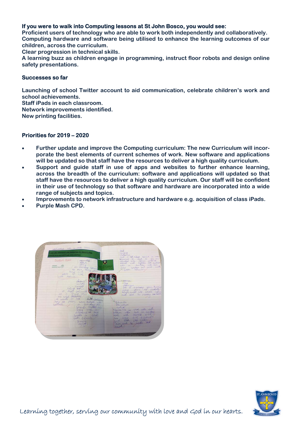#### **If you were to walk into Computing lessons at St John Bosco, you would see:**

**Proficient users of technology who are able to work both independently and collaboratively. Computing hardware and software being utilised to enhance the learning outcomes of our children, across the curriculum.** 

**Clear progression in technical skills.** 

**A learning buzz as children engage in programming, instruct floor robots and design online safety presentations.** 

#### **Successes so far**

**Launching of school Twitter account to aid communication, celebrate children's work and school achievements.** 

**Staff iPads in each classroom.** 

**Network improvements identified.** 

**New printing facilities.** 

### **Priorities for 2019 – 2020**

- **Further update and improve the Computing curriculum: The new Curriculum will incorporate the best elements of current schemes of work. New software and applications will be updated so that staff have the resources to deliver a high quality curriculum.**
- **Support and guide staff in use of apps and websites to further enhance learning, across the breadth of the curriculum: software and applications will updated so that staff have the resources to deliver a high quality curriculum. Our staff will be confident in their use of technology so that software and hardware are incorporated into a wide range of subjects and topics.**
- **Improvements to network infrastructure and hardware e.g. acquisition of class iPads.**
- **Purple Mash CPD.**